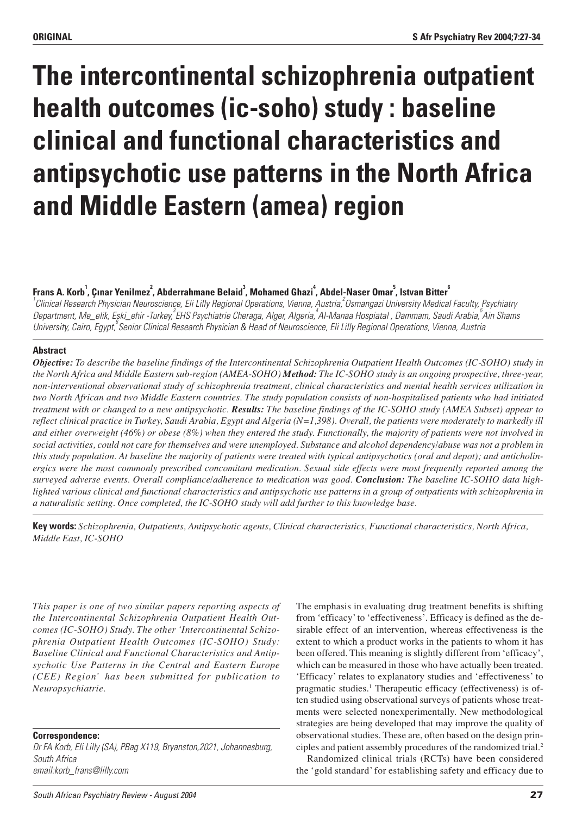# **The intercontinental schizophrenia outpatient health outcomes (ic-soho) study : baseline clinical and functional characteristics and antipsychotic use patterns in the North Africa and Middle Eastern (amea) region**

# Frans A. Korb<sup>1</sup>, Çınar Yenilmez<sup>2</sup>, Abderrahmane Belaid<sup>3</sup>, Mohamed Ghazi<sup>4</sup>, Abdel-Naser Omar<sup>5</sup>, Istvan Bitter<sup>6</sup>

 $^{\prime}$ Clinical Research Physician Neuroscience, Eli Lilly Regional Operations, Vienna, Austria, 2Smangazi University Medical Faculty, Psychiatry Department, Me\_elik, Eski\_ehir -Turkey, EHS Psychiatrie Cheraga, Alger, Algeria, <sup>4</sup>Al-Manaa Hospiatal , Dammam, Saudi Arabia, Ain Shams University, Cairo, Egypt, <sup>6</sup>Senior Clinical Research Physician & Head of Neuroscience, Eli Lilly Regional Operations, Vienna, Austria

## **Abstract**

*Objective: To describe the baseline findings of the Intercontinental Schizophrenia Outpatient Health Outcomes (IC-SOHO) study in the North Africa and Middle Eastern sub-region (AMEA-SOHO) Method: The IC-SOHO study is an ongoing prospective, three-year, non-interventional observational study of schizophrenia treatment, clinical characteristics and mental health services utilization in two North African and two Middle Eastern countries. The study population consists of non-hospitalised patients who had initiated treatment with or changed to a new antipsychotic. Results: The baseline findings of the IC-SOHO study (AMEA Subset) appear to reflect clinical practice in Turkey, Saudi Arabia, Egypt and Algeria (N=1,398). Overall, the patients were moderately to markedly ill and either overweight (46%) or obese (8%) when they entered the study. Functionally, the majority of patients were not involved in social activities, could not care for themselves and were unemployed. Substance and alcohol dependency/abuse was not a problem in this study population. At baseline the majority of patients were treated with typical antipsychotics (oral and depot); and anticholinergics were the most commonly prescribed concomitant medication. Sexual side effects were most frequently reported among the surveyed adverse events. Overall compliance/adherence to medication was good. Conclusion: The baseline IC-SOHO data highlighted various clinical and functional characteristics and antipsychotic use patterns in a group of outpatients with schizophrenia in a naturalistic setting. Once completed, the IC-SOHO study will add further to this knowledge base.*

**Key words:** *Schizophrenia, Outpatients, Antipsychotic agents, Clinical characteristics, Functional characteristics, North Africa, Middle East, IC-SOHO*

*This paper is one of two similar papers reporting aspects of the Intercontinental Schizophrenia Outpatient Health Outcomes (IC-SOHO) Study. The other 'Intercontinental Schizophrenia Outpatient Health Outcomes (IC-SOHO) Study: Baseline Clinical and Functional Characteristics and Antipsychotic Use Patterns in the Central and Eastern Europe (CEE) Region' has been submitted for publication to Neuropsychiatrie.*

## **Correspondence:**

Dr FA Korb, Eli Lilly (SA), PBag X119, Bryanston,2021, Johannesburg, South Africa email:korb\_frans@lilly.com

The emphasis in evaluating drug treatment benefits is shifting from 'efficacy' to 'effectiveness'. Efficacy is defined as the desirable effect of an intervention, whereas effectiveness is the extent to which a product works in the patients to whom it has been offered. This meaning is slightly different from 'efficacy', which can be measured in those who have actually been treated. 'Efficacy' relates to explanatory studies and 'effectiveness' to pragmatic studies.<sup>1</sup> Therapeutic efficacy (effectiveness) is often studied using observational surveys of patients whose treatments were selected nonexperimentally. New methodological strategies are being developed that may improve the quality of observational studies. These are, often based on the design principles and patient assembly procedures of the randomized trial.2

Randomized clinical trials (RCTs) have been considered the 'gold standard' for establishing safety and efficacy due to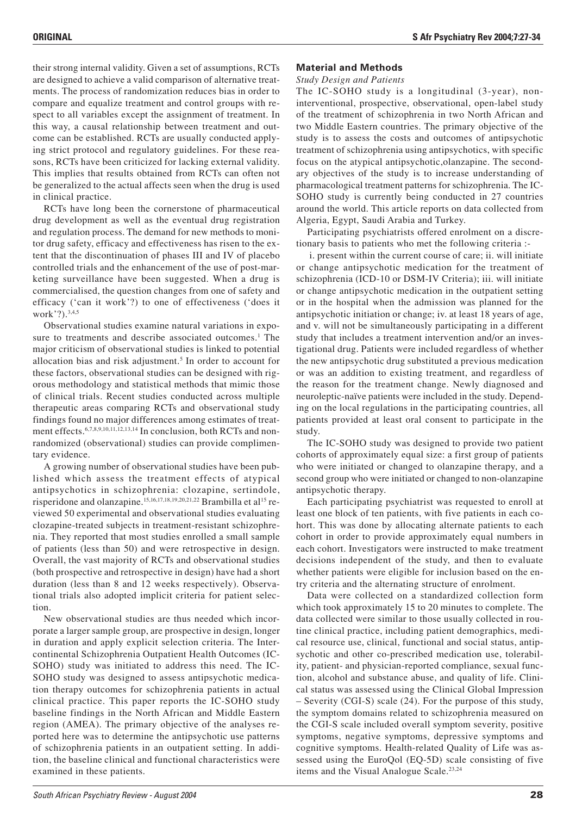their strong internal validity. Given a set of assumptions, RCTs are designed to achieve a valid comparison of alternative treatments. The process of randomization reduces bias in order to compare and equalize treatment and control groups with respect to all variables except the assignment of treatment. In this way, a causal relationship between treatment and outcome can be established. RCTs are usually conducted applying strict protocol and regulatory guidelines. For these reasons, RCTs have been criticized for lacking external validity. This implies that results obtained from RCTs can often not be generalized to the actual affects seen when the drug is used in clinical practice.

RCTs have long been the cornerstone of pharmaceutical drug development as well as the eventual drug registration and regulation process. The demand for new methods to monitor drug safety, efficacy and effectiveness has risen to the extent that the discontinuation of phases III and IV of placebo controlled trials and the enhancement of the use of post-marketing surveillance have been suggested. When a drug is commercialised, the question changes from one of safety and efficacy ('can it work'?) to one of effectiveness ('does it work'?).3,4,5

Observational studies examine natural variations in exposure to treatments and describe associated outcomes.<sup>1</sup> The major criticism of observational studies is linked to potential allocation bias and risk adjustment.5 In order to account for these factors, observational studies can be designed with rigorous methodology and statistical methods that mimic those of clinical trials. Recent studies conducted across multiple therapeutic areas comparing RCTs and observational study findings found no major differences among estimates of treatment effects.<sup>6,7,8,9,10,11,12,13,14</sup> In conclusion, both RCTs and nonrandomized (observational) studies can provide complimentary evidence.

A growing number of observational studies have been published which assess the treatment effects of atypical antipsychotics in schizophrenia: clozapine, sertindole, risperidone and olanzapine.<sup>15,16,17,18,19,20,21,22</sup> Brambilla et al<sup>15</sup> reviewed 50 experimental and observational studies evaluating clozapine-treated subjects in treatment-resistant schizophrenia. They reported that most studies enrolled a small sample of patients (less than 50) and were retrospective in design. Overall, the vast majority of RCTs and observational studies (both prospective and retrospective in design) have had a short duration (less than 8 and 12 weeks respectively). Observational trials also adopted implicit criteria for patient selection.

New observational studies are thus needed which incorporate a larger sample group, are prospective in design, longer in duration and apply explicit selection criteria. The Intercontinental Schizophrenia Outpatient Health Outcomes (IC-SOHO) study was initiated to address this need. The IC-SOHO study was designed to assess antipsychotic medication therapy outcomes for schizophrenia patients in actual clinical practice. This paper reports the IC-SOHO study baseline findings in the North African and Middle Eastern region (AMEA). The primary objective of the analyses reported here was to determine the antipsychotic use patterns of schizophrenia patients in an outpatient setting. In addition, the baseline clinical and functional characteristics were examined in these patients.

## **Material and Methods**

## *Study Design and Patients*

The IC-SOHO study is a longitudinal (3-year), noninterventional, prospective, observational, open-label study of the treatment of schizophrenia in two North African and two Middle Eastern countries. The primary objective of the study is to assess the costs and outcomes of antipsychotic treatment of schizophrenia using antipsychotics, with specific focus on the atypical antipsychotic,olanzapine. The secondary objectives of the study is to increase understanding of pharmacological treatment patterns for schizophrenia. The IC-SOHO study is currently being conducted in 27 countries around the world. This article reports on data collected from Algeria, Egypt, Saudi Arabia and Turkey.

Participating psychiatrists offered enrolment on a discretionary basis to patients who met the following criteria :-

i. present within the current course of care; ii. will initiate or change antipsychotic medication for the treatment of schizophrenia (ICD-10 or DSM-IV Criteria); iii. will initiate or change antipsychotic medication in the outpatient setting or in the hospital when the admission was planned for the antipsychotic initiation or change; iv. at least 18 years of age, and v. will not be simultaneously participating in a different study that includes a treatment intervention and/or an investigational drug. Patients were included regardless of whether the new antipsychotic drug substituted a previous medication or was an addition to existing treatment, and regardless of the reason for the treatment change. Newly diagnosed and neuroleptic-naïve patients were included in the study. Depending on the local regulations in the participating countries, all patients provided at least oral consent to participate in the study.

The IC-SOHO study was designed to provide two patient cohorts of approximately equal size: a first group of patients who were initiated or changed to olanzapine therapy, and a second group who were initiated or changed to non-olanzapine antipsychotic therapy.

Each participating psychiatrist was requested to enroll at least one block of ten patients, with five patients in each cohort. This was done by allocating alternate patients to each cohort in order to provide approximately equal numbers in each cohort. Investigators were instructed to make treatment decisions independent of the study, and then to evaluate whether patients were eligible for inclusion based on the entry criteria and the alternating structure of enrolment.

Data were collected on a standardized collection form which took approximately 15 to 20 minutes to complete. The data collected were similar to those usually collected in routine clinical practice, including patient demographics, medical resource use, clinical, functional and social status, antipsychotic and other co-prescribed medication use, tolerability, patient- and physician-reported compliance, sexual function, alcohol and substance abuse, and quality of life. Clinical status was assessed using the Clinical Global Impression – Severity (CGI-S) scale (24). For the purpose of this study, the symptom domains related to schizophrenia measured on the CGI-S scale included overall symptom severity, positive symptoms, negative symptoms, depressive symptoms and cognitive symptoms. Health-related Quality of Life was assessed using the EuroQol (EQ-5D) scale consisting of five items and the Visual Analogue Scale.<sup>23,24</sup>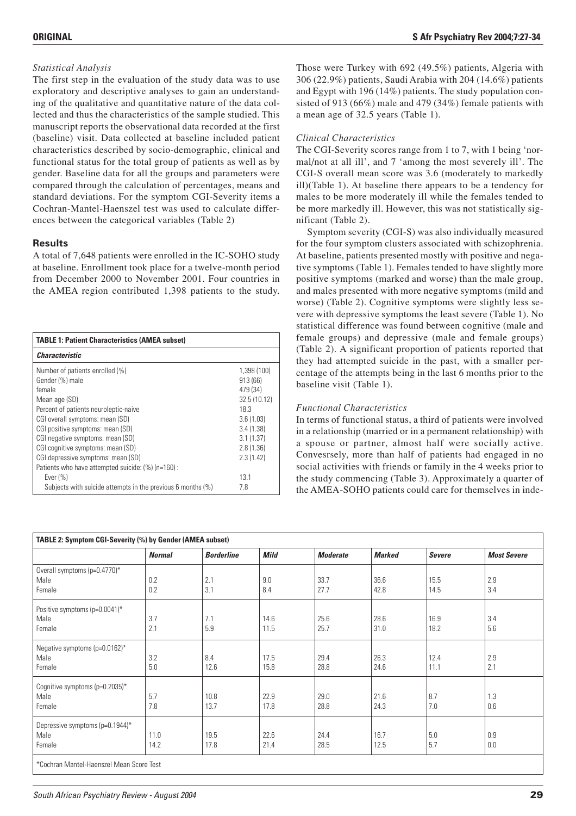### *Statistical Analysis*

The first step in the evaluation of the study data was to use exploratory and descriptive analyses to gain an understanding of the qualitative and quantitative nature of the data collected and thus the characteristics of the sample studied. This manuscript reports the observational data recorded at the first (baseline) visit. Data collected at baseline included patient characteristics described by socio-demographic, clinical and functional status for the total group of patients as well as by gender. Baseline data for all the groups and parameters were compared through the calculation of percentages, means and standard deviations. For the symptom CGI-Severity items a Cochran-Mantel-Haenszel test was used to calculate differences between the categorical variables (Table 2)

## **Results**

A total of 7,648 patients were enrolled in the IC-SOHO study at baseline. Enrollment took place for a twelve-month period from December 2000 to November 2001. Four countries in the AMEA region contributed 1,398 patients to the study.

| <b>TABLE 1: Patient Characteristics (AMEA subset)</b>       |              |
|-------------------------------------------------------------|--------------|
| <b>Characteristic</b>                                       |              |
| Number of patients enrolled (%)                             | 1,398 (100)  |
| Gender (%) male                                             | 913 (66)     |
| female                                                      | 479 (34)     |
| Mean age (SD)                                               | 32.5 (10.12) |
| Percent of patients neuroleptic-naive                       | 18.3         |
| CGI overall symptoms: mean (SD)                             | 3.6(1.03)    |
| CGI positive symptoms: mean (SD)                            | 3.4(1.38)    |
| CGI negative symptoms: mean (SD)                            | 3.1(1.37)    |
| CGI cognitive symptoms: mean (SD)                           | 2.8(1.36)    |
| CGI depressive symptoms: mean (SD)                          | 2.3(1.42)    |
| Patients who have attempted suicide: (%) (n=160) :          |              |
| Ever $(\%)$                                                 | 13.1         |
| Subjects with suicide attempts in the previous 6 months (%) | 7.8          |

Those were Turkey with 692 (49.5%) patients, Algeria with 306 (22.9%) patients, Saudi Arabia with 204 (14.6%) patients and Egypt with 196 (14%) patients. The study population consisted of 913 (66%) male and 479 (34%) female patients with a mean age of 32.5 years (Table 1).

## *Clinical Characteristics*

The CGI-Severity scores range from 1 to 7, with 1 being 'normal/not at all ill', and 7 'among the most severely ill'. The CGI-S overall mean score was 3.6 (moderately to markedly ill)(Table 1). At baseline there appears to be a tendency for males to be more moderately ill while the females tended to be more markedly ill. However, this was not statistically significant (Table 2).

Symptom severity (CGI-S) was also individually measured for the four symptom clusters associated with schizophrenia. At baseline, patients presented mostly with positive and negative symptoms (Table 1). Females tended to have slightly more positive symptoms (marked and worse) than the male group, and males presented with more negative symptoms (mild and worse) (Table 2). Cognitive symptoms were slightly less severe with depressive symptoms the least severe (Table 1). No statistical difference was found between cognitive (male and female groups) and depressive (male and female groups) (Table 2). A significant proportion of patients reported that they had attempted suicide in the past, with a smaller percentage of the attempts being in the last 6 months prior to the baseline visit (Table 1).

#### *Functional Characteristics*

In terms of functional status, a third of patients were involved in a relationship (married or in a permanent relationship) with a spouse or partner, almost half were socially active. Convesrsely, more than half of patients had engaged in no social activities with friends or family in the 4 weeks prior to the study commencing (Table 3). Approximately a quarter of the AMEA-SOHO patients could care for themselves in inde-

| TABLE 2: Symptom CGI-Severity (%) by Gender (AMEA subset) |               |                   |              |                 |               |               |                    |
|-----------------------------------------------------------|---------------|-------------------|--------------|-----------------|---------------|---------------|--------------------|
|                                                           | <b>Normal</b> | <b>Borderline</b> | Mild         | <b>Moderate</b> | <b>Marked</b> | <b>Severe</b> | <b>Most Severe</b> |
| Overall symptoms (p=0.4770)*<br>Male<br>Female            | 0.2<br>0.2    | 2.1<br>3.1        | 9.0<br>8.4   | 33.7<br>27.7    | 36.6<br>42.8  | 15.5<br>14.5  | 2.9<br>3.4         |
| Positive symptoms (p=0.0041)*<br>Male<br>Female           | 3.7<br>2.1    | 7.1<br>5.9        | 14.6<br>11.5 | 25.6<br>25.7    | 28.6<br>31.0  | 16.9<br>18.2  | 3.4<br>5.6         |
| Negative symptoms (p=0.0162)*<br>Male<br>Female           | 3.2<br>5.0    | 8.4<br>12.6       | 17.5<br>15.8 | 29.4<br>28.8    | 26.3<br>24.6  | 12.4<br>11.1  | 2.9<br>2.1         |
| Cognitive symptoms (p=0.2035)*<br>Male<br>Female          | 5.7<br>7.8    | 10.8<br>13.7      | 22.9<br>17.8 | 29.0<br>28.8    | 21.6<br>24.3  | 8.7<br>7.0    | 1.3<br>0.6         |
| Depressive symptoms (p=0.1944)*<br>Male<br>Female         | 11.0<br>14.2  | 19.5<br>17.8      | 22.6<br>21.4 | 24.4<br>28.5    | 16.7<br>12.5  | 5.0<br>5.7    | 0.9<br>0.0         |
| *Cochran Mantel-Haenszel Mean Score Test                  |               |                   |              |                 |               |               |                    |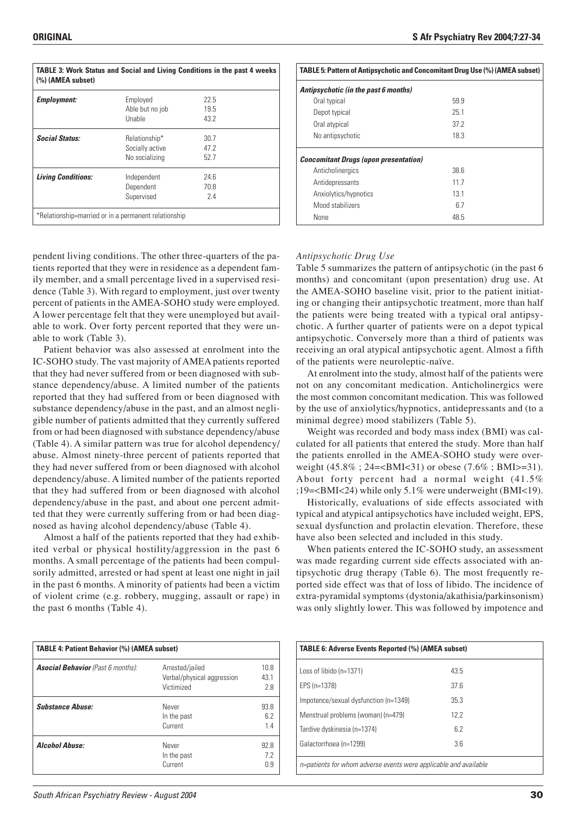| <b>TABLE 3: Work Status and Social and Living Conditions in the past 4 weeks</b><br>(%) (AMEA subset) |                                                      |      |  |
|-------------------------------------------------------------------------------------------------------|------------------------------------------------------|------|--|
| <b>Employment:</b>                                                                                    | Employed                                             | 22.5 |  |
|                                                                                                       | Able but no job                                      | 19.5 |  |
|                                                                                                       | Unable                                               | 43.2 |  |
| <b>Social Status:</b>                                                                                 | Relationship*                                        | 30.7 |  |
|                                                                                                       | Socially active                                      | 47.2 |  |
|                                                                                                       | No socializing                                       | 52.7 |  |
| <b>Living Conditions:</b>                                                                             | Independent                                          | 24.6 |  |
|                                                                                                       | Dependent                                            | 70.8 |  |
|                                                                                                       | Supervised                                           | 2.4  |  |
|                                                                                                       | *Relationship=married or in a permanent relationship |      |  |

pendent living conditions. The other three-quarters of the patients reported that they were in residence as a dependent family member, and a small percentage lived in a supervised residence (Table 3). With regard to employment, just over twenty percent of patients in the AMEA-SOHO study were employed. A lower percentage felt that they were unemployed but available to work. Over forty percent reported that they were unable to work (Table 3).

Patient behavior was also assessed at enrolment into the IC-SOHO study. The vast majority of AMEA patients reported that they had never suffered from or been diagnosed with substance dependency/abuse. A limited number of the patients reported that they had suffered from or been diagnosed with substance dependency/abuse in the past, and an almost negligible number of patients admitted that they currently suffered from or had been diagnosed with substance dependency/abuse (Table 4). A similar pattern was true for alcohol dependency/ abuse. Almost ninety-three percent of patients reported that they had never suffered from or been diagnosed with alcohol dependency/abuse. A limited number of the patients reported that they had suffered from or been diagnosed with alcohol dependency/abuse in the past, and about one percent admitted that they were currently suffering from or had been diagnosed as having alcohol dependency/abuse (Table 4).

Almost a half of the patients reported that they had exhibited verbal or physical hostility/aggression in the past 6 months. A small percentage of the patients had been compulsorily admitted, arrested or had spent at least one night in jail in the past 6 months. A minority of patients had been a victim of violent crime (e.g. robbery, mugging, assault or rape) in the past 6 months (Table 4).

| <b>TABLE 4: Patient Behavior (%) (AMEA subset)</b> |                                               |              |  |
|----------------------------------------------------|-----------------------------------------------|--------------|--|
| <b>Asocial Behavior</b> (Past 6 months):           | Arrested/jailed<br>Verbal/physical aggression | 10.8<br>43.1 |  |
|                                                    | Victimized                                    | 2.8          |  |
| <b>Substance Abuse:</b>                            | Never                                         | 93.8         |  |
|                                                    | In the past                                   | 6.2          |  |
|                                                    | Current                                       | 14           |  |
| <b>Alcohol Abuse:</b>                              | Never                                         | 92.8         |  |
|                                                    | In the past                                   | 7.2          |  |
|                                                    | Current                                       | N 9          |  |

| TABLE 5: Pattern of Antipsychotic and Concomitant Drug Use (%) (AMEA subset) |      |  |  |
|------------------------------------------------------------------------------|------|--|--|
| Antipsychotic (in the past 6 months)                                         |      |  |  |
| Oral typical                                                                 | 59.9 |  |  |
| Depot typical                                                                | 25.1 |  |  |
| Oral atypical                                                                | 37.2 |  |  |
| No antipsychotic                                                             | 18.3 |  |  |
| <b>Concomitant Drugs (upon presentation)</b>                                 |      |  |  |
| Anticholinergics                                                             | 38.6 |  |  |
| Antidepressants                                                              | 117  |  |  |
| Anxiolytics/hypnotics                                                        | 131  |  |  |
| Mood stabilizers                                                             | 6.7  |  |  |
| None                                                                         | 48.5 |  |  |

#### *Antipsychotic Drug Use*

Table 5 summarizes the pattern of antipsychotic (in the past 6 months) and concomitant (upon presentation) drug use. At the AMEA-SOHO baseline visit, prior to the patient initiating or changing their antipsychotic treatment, more than half the patients were being treated with a typical oral antipsychotic. A further quarter of patients were on a depot typical antipsychotic. Conversely more than a third of patients was receiving an oral atypical antipsychotic agent. Almost a fifth of the patients were neuroleptic-naïve.

At enrolment into the study, almost half of the patients were not on any concomitant medication. Anticholinergics were the most common concomitant medication. This was followed by the use of anxiolytics/hypnotics, antidepressants and (to a minimal degree) mood stabilizers (Table 5).

Weight was recorded and body mass index (BMI) was calculated for all patients that entered the study. More than half the patients enrolled in the AMEA-SOHO study were overweight (45.8%; 24=<BMI<31) or obese (7.6%; BMI>=31). About forty percent had a normal weight (41.5% ;19=<BMI<24) while only 5.1% were underweight (BMI<19).

Historically, evaluations of side effects associated with typical and atypical antipsychotics have included weight, EPS, sexual dysfunction and prolactin elevation. Therefore, these have also been selected and included in this study.

When patients entered the IC-SOHO study, an assessment was made regarding current side effects associated with antipsychotic drug therapy (Table 6). The most frequently reported side effect was that of loss of libido. The incidence of extra-pyramidal symptoms (dystonia/akathisia/parkinsonism) was only slightly lower. This was followed by impotence and

| TABLE 6: Adverse Events Reported (%) (AMEA subset)                 |      |  |  |
|--------------------------------------------------------------------|------|--|--|
| Loss of libido ( $n=1371$ )                                        | 43.5 |  |  |
| EPS (n=1378)                                                       | 37.6 |  |  |
| Impotence/sexual dysfunction (n=1349)                              | 35.3 |  |  |
| Menstrual problems (woman) (n=479)                                 | 12.2 |  |  |
| Tardive dyskinesia (n=1374)                                        | 6.2  |  |  |
| Galactorrhoea (n=1299)                                             | 3.6  |  |  |
| r potionta for urbam odvarao quanto waxa qonliqabla qod quailabla. |      |  |  |

n=patients for whom adverse events were applicable and available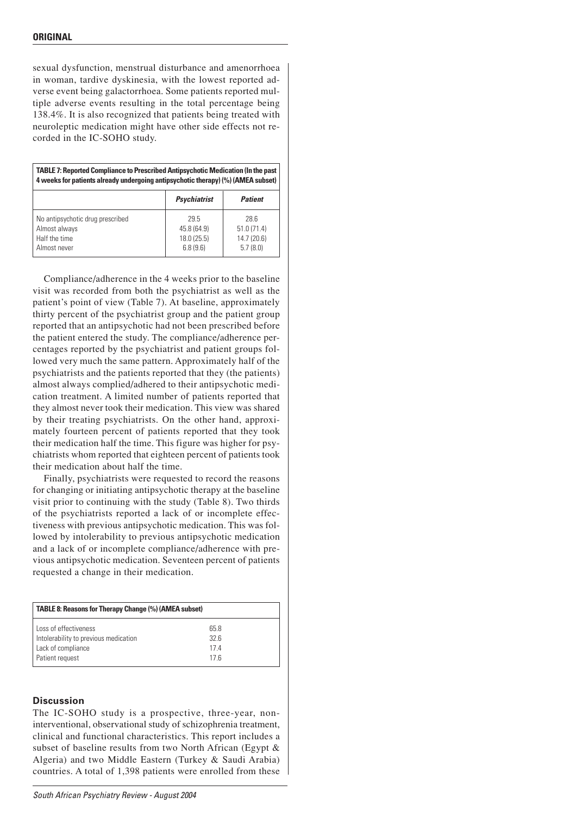sexual dysfunction, menstrual disturbance and amenorrhoea in woman, tardive dyskinesia, with the lowest reported adverse event being galactorrhoea. Some patients reported multiple adverse events resulting in the total percentage being 138.4%. It is also recognized that patients being treated with neuroleptic medication might have other side effects not recorded in the IC-SOHO study.

**TABLE 7: Reported Compliance to Prescribed Antipsychotic Medication (In the past 4 weeks for patients already undergoing antipsychotic therapy) (%) (AMEA subset)**

|                                  | <b>Psychiatrist</b> | <b>Patient</b> |
|----------------------------------|---------------------|----------------|
| No antipsychotic drug prescribed | 29.5                | 28 R           |
| Almost always                    | 45.8 (64.9)         | 51.0(71.4)     |
| Half the time                    | 18.0(25.5)          | 14.7 (20.6)    |
| Almost never                     | 6.8(9.6)            | 5.7(8.0)       |

Compliance/adherence in the 4 weeks prior to the baseline visit was recorded from both the psychiatrist as well as the patient's point of view (Table 7). At baseline, approximately thirty percent of the psychiatrist group and the patient group reported that an antipsychotic had not been prescribed before the patient entered the study. The compliance/adherence percentages reported by the psychiatrist and patient groups followed very much the same pattern. Approximately half of the psychiatrists and the patients reported that they (the patients) almost always complied/adhered to their antipsychotic medication treatment. A limited number of patients reported that they almost never took their medication. This view was shared by their treating psychiatrists. On the other hand, approximately fourteen percent of patients reported that they took their medication half the time. This figure was higher for psychiatrists whom reported that eighteen percent of patients took their medication about half the time.

Finally, psychiatrists were requested to record the reasons for changing or initiating antipsychotic therapy at the baseline visit prior to continuing with the study (Table 8). Two thirds of the psychiatrists reported a lack of or incomplete effectiveness with previous antipsychotic medication. This was followed by intolerability to previous antipsychotic medication and a lack of or incomplete compliance/adherence with previous antipsychotic medication. Seventeen percent of patients requested a change in their medication.

| TABLE 8: Reasons for Therapy Change (%) (AMEA subset)                                                   |                             |  |  |
|---------------------------------------------------------------------------------------------------------|-----------------------------|--|--|
| Loss of effectiveness<br>Intolerability to previous medication<br>Lack of compliance<br>Patient request | 65.8<br>32.6<br>174<br>17 R |  |  |

#### **Discussion**

The IC-SOHO study is a prospective, three-year, noninterventional, observational study of schizophrenia treatment, clinical and functional characteristics. This report includes a subset of baseline results from two North African (Egypt & Algeria) and two Middle Eastern (Turkey & Saudi Arabia) countries. A total of 1,398 patients were enrolled from these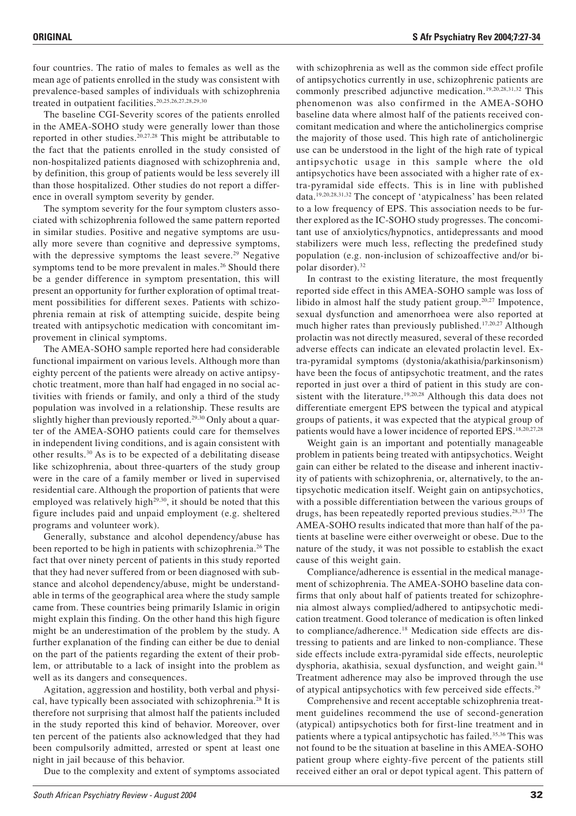four countries. The ratio of males to females as well as the mean age of patients enrolled in the study was consistent with prevalence-based samples of individuals with schizophrenia treated in outpatient facilities.<sup>20,25,26,27,28,29,30</sup>

The baseline CGI-Severity scores of the patients enrolled in the AMEA-SOHO study were generally lower than those reported in other studies.20,27,28 This might be attributable to the fact that the patients enrolled in the study consisted of non-hospitalized patients diagnosed with schizophrenia and, by definition, this group of patients would be less severely ill than those hospitalized. Other studies do not report a difference in overall symptom severity by gender.

The symptom severity for the four symptom clusters associated with schizophrenia followed the same pattern reported in similar studies. Positive and negative symptoms are usually more severe than cognitive and depressive symptoms, with the depressive symptoms the least severe.<sup>29</sup> Negative symptoms tend to be more prevalent in males.<sup>26</sup> Should there be a gender difference in symptom presentation, this will present an opportunity for further exploration of optimal treatment possibilities for different sexes. Patients with schizophrenia remain at risk of attempting suicide, despite being treated with antipsychotic medication with concomitant improvement in clinical symptoms.

The AMEA-SOHO sample reported here had considerable functional impairment on various levels. Although more than eighty percent of the patients were already on active antipsychotic treatment, more than half had engaged in no social activities with friends or family, and only a third of the study population was involved in a relationship. These results are slightly higher than previously reported.<sup>29,30</sup> Only about a quarter of the AMEA-SOHO patients could care for themselves in independent living conditions, and is again consistent with other results.30 As is to be expected of a debilitating disease like schizophrenia, about three-quarters of the study group were in the care of a family member or lived in supervised residential care. Although the proportion of patients that were employed was relatively high<sup>29,30</sup>, it should be noted that this figure includes paid and unpaid employment (e.g. sheltered programs and volunteer work).

Generally, substance and alcohol dependency/abuse has been reported to be high in patients with schizophrenia.<sup>26</sup> The fact that over ninety percent of patients in this study reported that they had never suffered from or been diagnosed with substance and alcohol dependency/abuse, might be understandable in terms of the geographical area where the study sample came from. These countries being primarily Islamic in origin might explain this finding. On the other hand this high figure might be an underestimation of the problem by the study. A further explanation of the finding can either be due to denial on the part of the patients regarding the extent of their problem, or attributable to a lack of insight into the problem as well as its dangers and consequences.

Agitation, aggression and hostility, both verbal and physical, have typically been associated with schizophrenia.28 It is therefore not surprising that almost half the patients included in the study reported this kind of behavior. Moreover, over ten percent of the patients also acknowledged that they had been compulsorily admitted, arrested or spent at least one night in jail because of this behavior.

Due to the complexity and extent of symptoms associated

with schizophrenia as well as the common side effect profile of antipsychotics currently in use, schizophrenic patients are commonly prescribed adjunctive medication.19,20,28,31,32 This phenomenon was also confirmed in the AMEA-SOHO baseline data where almost half of the patients received concomitant medication and where the anticholinergics comprise the majority of those used. This high rate of anticholinergic use can be understood in the light of the high rate of typical antipsychotic usage in this sample where the old antipsychotics have been associated with a higher rate of extra-pyramidal side effects. This is in line with published data.19,20,28,31,32 The concept of 'atypicalness' has been related to a low frequency of EPS. This association needs to be further explored as the IC-SOHO study progresses. The concomitant use of anxiolytics/hypnotics, antidepressants and mood stabilizers were much less, reflecting the predefined study population (e.g. non-inclusion of schizoaffective and/or bipolar disorder).32

In contrast to the existing literature, the most frequently reported side effect in this AMEA-SOHO sample was loss of libido in almost half the study patient group.20,27 Impotence, sexual dysfunction and amenorrhoea were also reported at much higher rates than previously published.<sup>17,20,27</sup> Although prolactin was not directly measured, several of these recorded adverse effects can indicate an elevated prolactin level. Extra-pyramidal symptoms (dystonia/akathisia/parkinsonism) have been the focus of antipsychotic treatment, and the rates reported in just over a third of patient in this study are consistent with the literature.<sup>19,20,28</sup> Although this data does not differentiate emergent EPS between the typical and atypical groups of patients, it was expected that the atypical group of patients would have a lower incidence of reported EPS.18,20,27,28

Weight gain is an important and potentially manageable problem in patients being treated with antipsychotics. Weight gain can either be related to the disease and inherent inactivity of patients with schizophrenia, or, alternatively, to the antipsychotic medication itself. Weight gain on antipsychotics, with a possible differentiation between the various groups of drugs, has been repeatedly reported previous studies.<sup>28,33</sup> The AMEA-SOHO results indicated that more than half of the patients at baseline were either overweight or obese. Due to the nature of the study, it was not possible to establish the exact cause of this weight gain.

Compliance/adherence is essential in the medical management of schizophrenia. The AMEA-SOHO baseline data confirms that only about half of patients treated for schizophrenia almost always complied/adhered to antipsychotic medication treatment. Good tolerance of medication is often linked to compliance/adherence.18 Medication side effects are distressing to patients and are linked to non-compliance. These side effects include extra-pyramidal side effects, neuroleptic dysphoria, akathisia, sexual dysfunction, and weight gain.34 Treatment adherence may also be improved through the use of atypical antipsychotics with few perceived side effects.29

Comprehensive and recent acceptable schizophrenia treatment guidelines recommend the use of second-generation (atypical) antipsychotics both for first-line treatment and in patients where a typical antipsychotic has failed.35,36 This was not found to be the situation at baseline in this AMEA-SOHO patient group where eighty-five percent of the patients still received either an oral or depot typical agent. This pattern of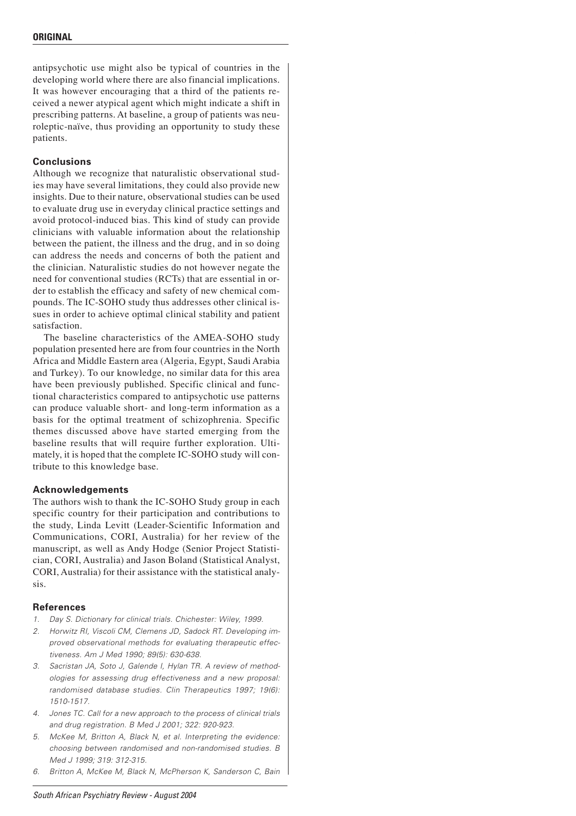antipsychotic use might also be typical of countries in the developing world where there are also financial implications. It was however encouraging that a third of the patients received a newer atypical agent which might indicate a shift in prescribing patterns. At baseline, a group of patients was neuroleptic-naïve, thus providing an opportunity to study these patients.

#### **Conclusions**

Although we recognize that naturalistic observational studies may have several limitations, they could also provide new insights. Due to their nature, observational studies can be used to evaluate drug use in everyday clinical practice settings and avoid protocol-induced bias. This kind of study can provide clinicians with valuable information about the relationship between the patient, the illness and the drug, and in so doing can address the needs and concerns of both the patient and the clinician. Naturalistic studies do not however negate the need for conventional studies (RCTs) that are essential in order to establish the efficacy and safety of new chemical compounds. The IC-SOHO study thus addresses other clinical issues in order to achieve optimal clinical stability and patient satisfaction.

The baseline characteristics of the AMEA-SOHO study population presented here are from four countries in the North Africa and Middle Eastern area (Algeria, Egypt, Saudi Arabia and Turkey). To our knowledge, no similar data for this area have been previously published. Specific clinical and functional characteristics compared to antipsychotic use patterns can produce valuable short- and long-term information as a basis for the optimal treatment of schizophrenia. Specific themes discussed above have started emerging from the baseline results that will require further exploration. Ultimately, it is hoped that the complete IC-SOHO study will contribute to this knowledge base.

#### **Acknowledgements**

The authors wish to thank the IC-SOHO Study group in each specific country for their participation and contributions to the study, Linda Levitt (Leader-Scientific Information and Communications, CORI, Australia) for her review of the manuscript, as well as Andy Hodge (Senior Project Statistician, CORI, Australia) and Jason Boland (Statistical Analyst, CORI, Australia) for their assistance with the statistical analysis.

#### **References**

- 1. Day S. Dictionary for clinical trials. Chichester: Wiley, 1999.
- 2. Horwitz RI, Viscoli CM, Clemens JD, Sadock RT. Developing improved observational methods for evaluating therapeutic effectiveness. Am J Med 1990; 89(5): 630-638.
- 3. Sacristan JA, Soto J, Galende I, Hylan TR. A review of methodologies for assessing drug effectiveness and a new proposal: randomised database studies. Clin Therapeutics 1997; 19(6): 1510-1517.
- 4. Jones TC. Call for a new approach to the process of clinical trials and drug registration. B Med J 2001; 322: 920-923.
- 5. McKee M, Britton A, Black N, et al. Interpreting the evidence: choosing between randomised and non-randomised studies. B Med J 1999; 319: 312-315.
- 6. Britton A, McKee M, Black N, McPherson K, Sanderson C, Bain